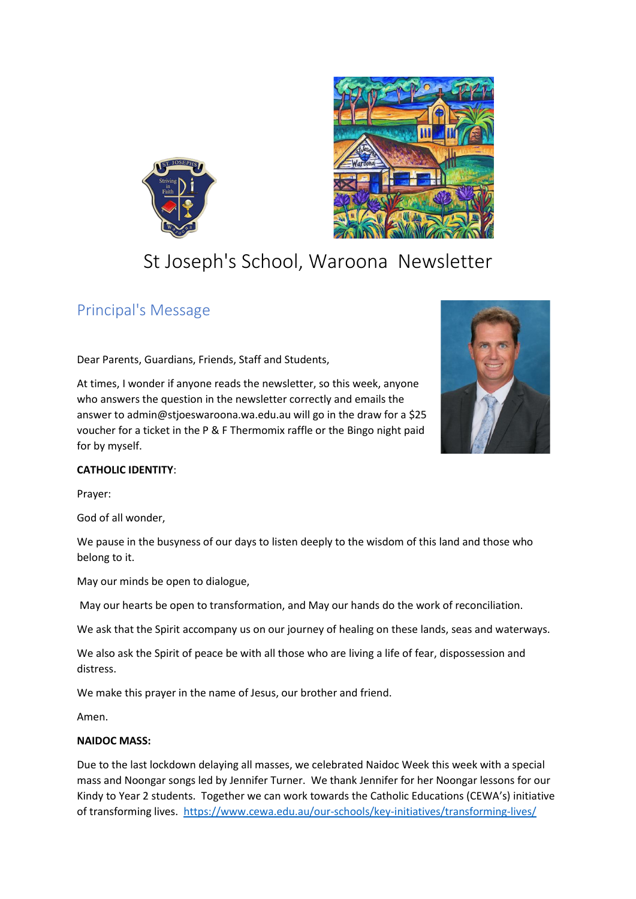



# St Joseph's School, Waroona Newsletter

## Principal's Message

Dear Parents, Guardians, Friends, Staff and Students,

At times, I wonder if anyone reads the newsletter, so this week, anyone who answers the question in the newsletter correctly and emails the answer to admin@stjoeswaroona.wa.edu.au will go in the draw for a \$25 voucher for a ticket in the P & F Thermomix raffle or the Bingo night paid for by myself.



#### **CATHOLIC IDENTITY**:

Prayer:

God of all wonder,

We pause in the busyness of our days to listen deeply to the wisdom of this land and those who belong to it.

May our minds be open to dialogue,

May our hearts be open to transformation, and May our hands do the work of reconciliation.

We ask that the Spirit accompany us on our journey of healing on these lands, seas and waterways.

We also ask the Spirit of peace be with all those who are living a life of fear, dispossession and distress.

We make this prayer in the name of Jesus, our brother and friend.

Amen.

#### **NAIDOC MASS:**

Due to the last lockdown delaying all masses, we celebrated Naidoc Week this week with a special mass and Noongar songs led by Jennifer Turner. We thank Jennifer for her Noongar lessons for our Kindy to Year 2 students. Together we can work towards the Catholic Educations (CEWA's) initiative of transforming lives. <https://www.cewa.edu.au/our-schools/key-initiatives/transforming-lives/>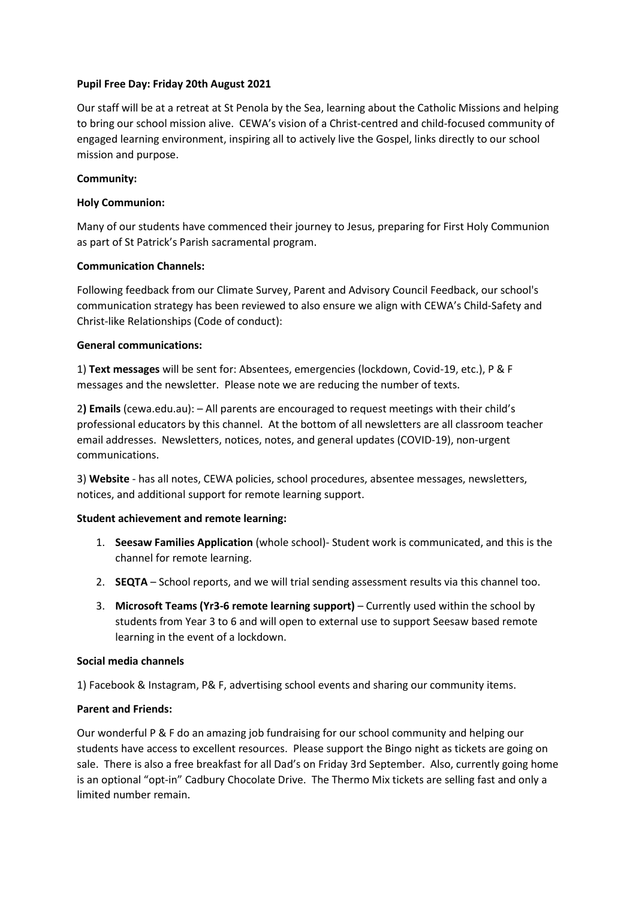#### **Pupil Free Day: Friday 20th August 2021**

Our staff will be at a retreat at St Penola by the Sea, learning about the Catholic Missions and helping to bring our school mission alive. CEWA's vision of a Christ-centred and child-focused community of engaged learning environment, inspiring all to actively live the Gospel, links directly to our school mission and purpose.

#### **Community:**

#### **Holy Communion:**

Many of our students have commenced their journey to Jesus, preparing for First Holy Communion as part of St Patrick's Parish sacramental program.

#### **Communication Channels:**

Following feedback from our Climate Survey, Parent and Advisory Council Feedback, our school's communication strategy has been reviewed to also ensure we align with CEWA's Child-Safety and Christ-like Relationships (Code of conduct):

#### **General communications:**

1) **Text messages** will be sent for: Absentees, emergencies (lockdown, Covid-19, etc.), P & F messages and the newsletter. Please note we are reducing the number of texts.

2**) Emails** (cewa.edu.au): – All parents are encouraged to request meetings with their child's professional educators by this channel. At the bottom of all newsletters are all classroom teacher email addresses. Newsletters, notices, notes, and general updates (COVID-19), non-urgent communications.

3) **Website** - has all notes, CEWA policies, school procedures, absentee messages, newsletters, notices, and additional support for remote learning support.

#### **Student achievement and remote learning:**

- 1. **Seesaw Families Application** (whole school)- Student work is communicated, and this is the channel for remote learning.
- 2. **SEQTA**  School reports, and we will trial sending assessment results via this channel too.
- 3. **Microsoft Teams (Yr3-6 remote learning support)** Currently used within the school by students from Year 3 to 6 and will open to external use to support Seesaw based remote learning in the event of a lockdown.

#### **Social media channels**

1) Facebook & Instagram, P& F, advertising school events and sharing our community items.

#### **Parent and Friends:**

Our wonderful P & F do an amazing job fundraising for our school community and helping our students have access to excellent resources. Please support the Bingo night as tickets are going on sale. There is also a free breakfast for all Dad's on Friday 3rd September. Also, currently going home is an optional "opt-in" Cadbury Chocolate Drive. The Thermo Mix tickets are selling fast and only a limited number remain.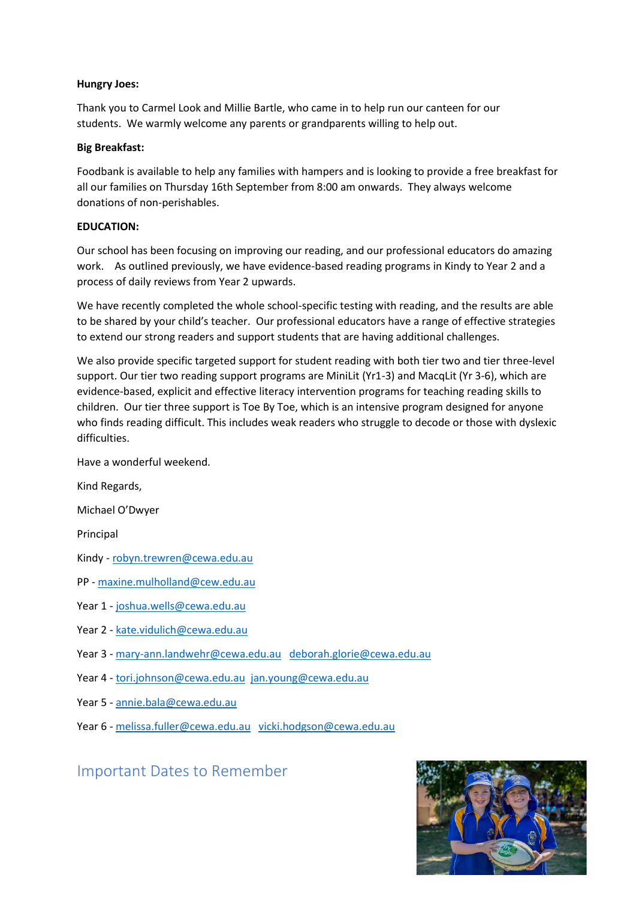#### **Hungry Joes:**

Thank you to Carmel Look and Millie Bartle, who came in to help run our canteen for our students. We warmly welcome any parents or grandparents willing to help out.

#### **Big Breakfast:**

Foodbank is available to help any families with hampers and is looking to provide a free breakfast for all our families on Thursday 16th September from 8:00 am onwards. They always welcome donations of non-perishables.

#### **EDUCATION:**

Our school has been focusing on improving our reading, and our professional educators do amazing work. As outlined previously, we have evidence-based reading programs in Kindy to Year 2 and a process of daily reviews from Year 2 upwards.

We have recently completed the whole school-specific testing with reading, and the results are able to be shared by your child's teacher. Our professional educators have a range of effective strategies to extend our strong readers and support students that are having additional challenges.

We also provide specific targeted support for student reading with both tier two and tier three-level support. Our tier two reading support programs are MiniLit (Yr1-3) and MacqLit (Yr 3-6), which are evidence-based, explicit and effective literacy intervention programs for teaching reading skills to children. Our tier three support is Toe By Toe, which is an intensive program designed for anyone who finds reading difficult. This includes weak readers who struggle to decode or those with dyslexic difficulties.

Have a wonderful weekend.

Kind Regards,

Michael O'Dwyer

Principal

Kindy - [robyn.trewren@cewa.edu.au](mailto:robyn.trewren@cewa.edu.au)

PP - [maxine.mulholland@cew.edu.au](mailto:maxine.mulholland@cew.edu.au)

Year 1 - [joshua.wells@cewa.edu.au](mailto:joshua.wells@cewa.edu.au)

- Year 2 [kate.vidulich@cewa.edu.au](mailto:kate.vidulich@cewa.edu.au)
- Year 3 [mary-ann.landwehr@cewa.edu.au](mailto:mary-ann.landwehr@cewa.edu.au) [deborah.glorie@cewa.edu.au](mailto:deborah.glorie@cewa.edu.au)
- Year 4 [tori.johnson@cewa.edu.au](mailto:tori.johnson@cewa.edu.au) [jan.young@cewa.edu.au](mailto:jan.young@cewa.edu.au)
- Year 5 [annie.bala@cewa.edu.au](mailto:annie.bala@cewa.edu.au)
- Year 6 [melissa.fuller@cewa.edu.au](mailto:melissa.fuller@cewa.edu.au) [vicki.hodgson@cewa.edu.au](mailto:vicki.hodgson@cewa.edu.au)

## Important Dates to Remember

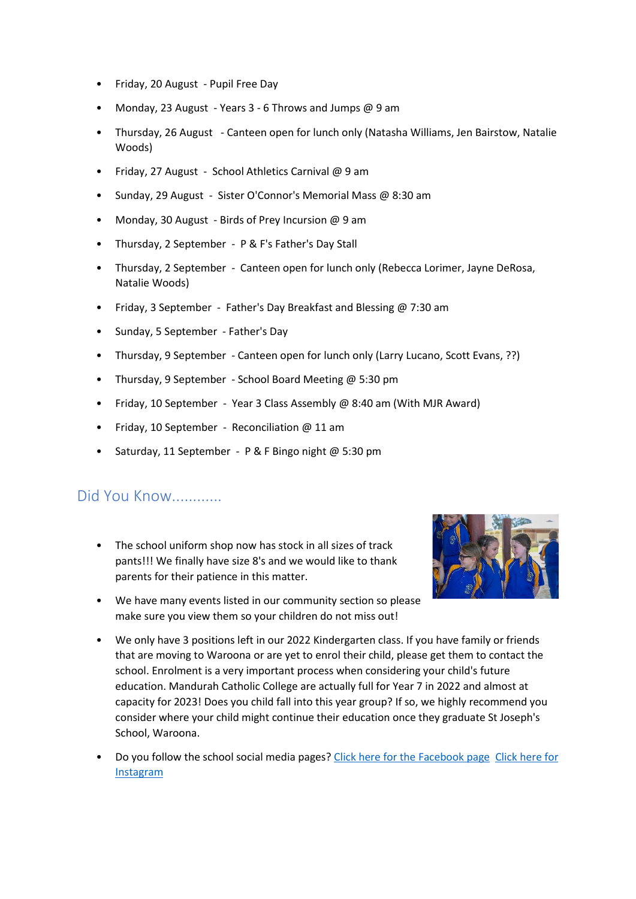- Friday, 20 August Pupil Free Day
- Monday, 23 August Years 3 6 Throws and Jumps @ 9 am
- Thursday, 26 August Canteen open for lunch only (Natasha Williams, Jen Bairstow, Natalie Woods)
- Friday, 27 August School Athletics Carnival @ 9 am
- Sunday, 29 August Sister O'Connor's Memorial Mass @ 8:30 am
- Monday, 30 August Birds of Prey Incursion @ 9 am
- Thursday, 2 September P & F's Father's Day Stall
- Thursday, 2 September Canteen open for lunch only (Rebecca Lorimer, Jayne DeRosa, Natalie Woods)
- Friday, 3 September Father's Day Breakfast and Blessing @ 7:30 am
- Sunday, 5 September Father's Day
- Thursday, 9 September Canteen open for lunch only (Larry Lucano, Scott Evans, ??)
- Thursday, 9 September School Board Meeting @ 5:30 pm
- Friday, 10 September Year 3 Class Assembly @ 8:40 am (With MJR Award)
- Friday, 10 September Reconciliation @ 11 am
- Saturday, 11 September P & F Bingo night @ 5:30 pm

## Did You Know............

• The school uniform shop now has stock in all sizes of track pants!!! We finally have size 8's and we would like to thank parents for their patience in this matter.



- We have many events listed in our community section so please make sure you view them so your children do not miss out!
- We only have 3 positions left in our 2022 Kindergarten class. If you have family or friends that are moving to Waroona or are yet to enrol their child, please get them to contact the school. Enrolment is a very important process when considering your child's future education. Mandurah Catholic College are actually full for Year 7 in 2022 and almost at capacity for 2023! Does you child fall into this year group? If so, we highly recommend you consider where your child might continue their education once they graduate St Joseph's School, Waroona.
- Do you follow the school social media pages[? Click here for the Facebook page](https://www.facebook.com/stjosephswaroona) [Click here for](https://www.instagram.com/stjosephswaroona/)  **[Instagram](https://www.instagram.com/stjosephswaroona/)**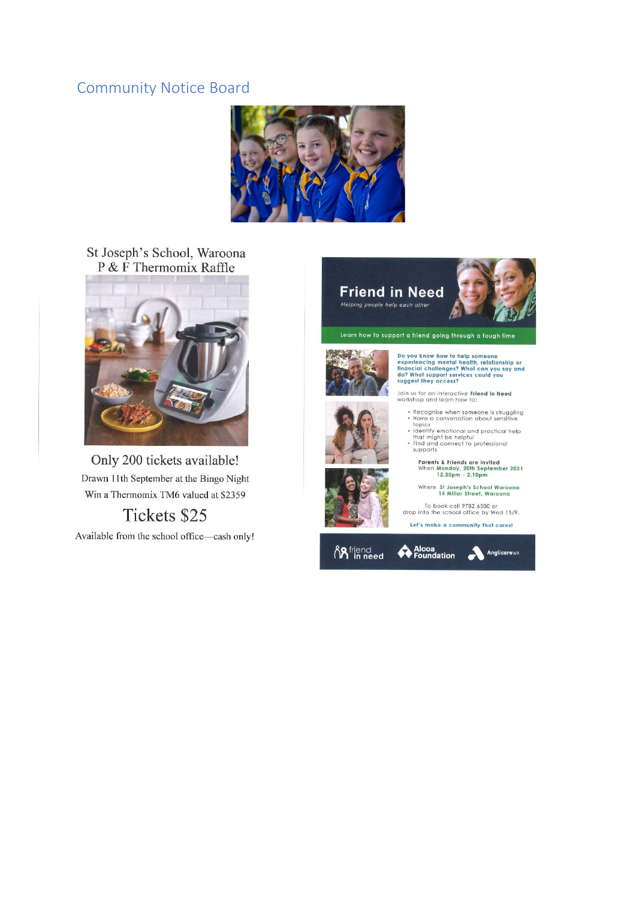## **Community Notice Board**



### St Joseph's School, Waroona P & F Thermomix Raffle



Only 200 tickets available! Drawn 11th September at the Bingo Night Win a Thermomix TM6 valued at \$2359

## Tickets \$25

Available from the school office-cash only!



Do you know how to help someone<br>experiencing mental health, relationship or<br>financial challenges? What can you say and<br>do? What support services could you<br>suggest they access?

Join us for an interactive **Friend in Need**<br>workshop and learn how to:

- Recognise when someone is struggling<br>• Have a conversation about sensitive
- Have a conversation about sensitive<br>
 Identify emotional and practical help<br>
that might be helpful<br>
Find and connect to professional<br>
supports
- 

Parents & Friends are invited<br>When Monday, 20th September 2021<br>12.30pm - 2.10pm

Where St Joseph's School Waroona<br>14 Millar Street, Waroona

To book call 9782 6500 or<br>drop into the school office by Wed 15/9.

Let's make a community that cares!



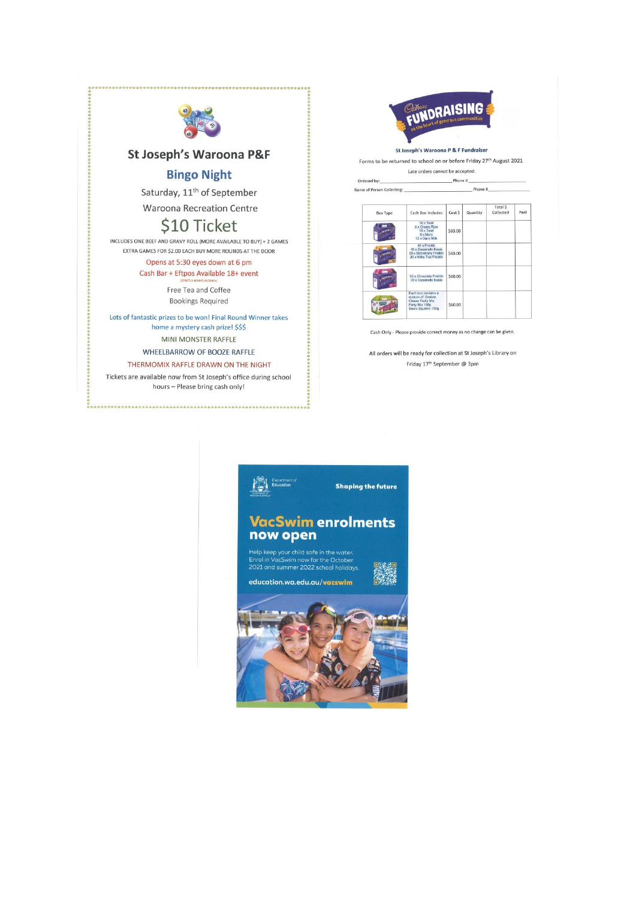



St Joseph's Waroona P&F

#### **Bingo Night**

Saturday, 11<sup>th</sup> of September **Waroona Recreation Centre** 

## \$10 Ticket

INCLUDES ONE BEEF AND GRAVY ROLL (MORE AVAILABLE TO BUY) + 2 GAMES EXTRA GAMES FOR \$2.00 EACH BUY MORE ROUNDS AT THE DOOR

> Opens at 5:30 eyes down at 6 pm Cash Bar + Eftpos Available 18+ event

> > Free Tea and Coffee **Bookings Required**

Lots of fantastic prizes to be won! Final Round Winner takes home a mystery cash prize! \$\$\$ MINI MONSTER RAFFLE

一般的情况

WHEELBARROW OF BOOZE RAFFLE

THERMOMIX RAFFLE DRAWN ON THE NIGHT

Tickets are available now from St Joseph's office during school hours - Please bring cash only!

St Joseph's Waroona P & F Fundraiser

Phone #

Forms to be returned to school on or before Friday 27th August 2021 Late orders cannot be accepted.

 $P$ hone # $\qquad$ Ordered by:

Name of Person Collecting:

| <b>Box Type</b> | <b>Each Box Includes</b>                                                                                     | Cost \$ | Quantity | Total S<br>Collected | Paid |
|-----------------|--------------------------------------------------------------------------------------------------------------|---------|----------|----------------------|------|
|                 | 16 x Twirl<br>8 x Cherry Ripe<br>16 x Twirl<br>8 x Moro<br>12 x Dairy Milk                                   | \$60.00 |          |                      |      |
|                 | 40 x Freddo<br>40 x Caramello Koala<br>20 x Strawberry Freddo<br>20 x Milky Top Freddo                       | \$60.00 |          |                      |      |
|                 | 30 x Chocolate Freddo<br>30 x Caramello Koala                                                                | \$60.00 |          |                      |      |
|                 | Fach hox contains a<br>mixture of: Snakes<br><b>Chews Fruity Mix</b><br>Party Mix 180g<br>Sours Squirms 180g | \$60.00 |          |                      |      |

Cash Only - Please provide correct money as no change can be given.

All orders will be ready for collection at St Joseph's Library on Friday 17<sup>th</sup> September @ 3pm